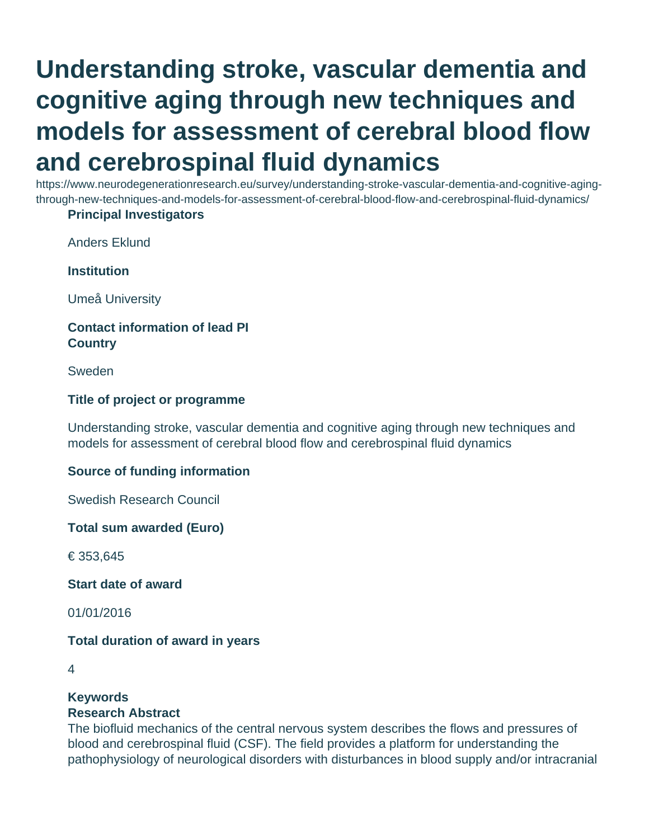# **Understanding stroke, vascular dementia and cognitive aging through new techniques and models for assessment of cerebral blood flow and cerebrospinal fluid dynamics**

https://www.neurodegenerationresearch.eu/survey/understanding-stroke-vascular-dementia-and-cognitive-agingthrough-new-techniques-and-models-for-assessment-of-cerebral-blood-flow-and-cerebrospinal-fluid-dynamics/

#### **Principal Investigators**

Anders Eklund

**Institution**

Umeå University

## **Contact information of lead PI Country**

Sweden

#### **Title of project or programme**

Understanding stroke, vascular dementia and cognitive aging through new techniques and models for assessment of cerebral blood flow and cerebrospinal fluid dynamics

#### **Source of funding information**

Swedish Research Council

**Total sum awarded (Euro)**

€ 353,645

**Start date of award**

01/01/2016

#### **Total duration of award in years**

# **Keywords**

#### **Research Abstract**

The biofluid mechanics of the central nervous system describes the flows and pressures of blood and cerebrospinal fluid (CSF). The field provides a platform for understanding the pathophysiology of neurological disorders with disturbances in blood supply and/or intracranial

<sup>4</sup>